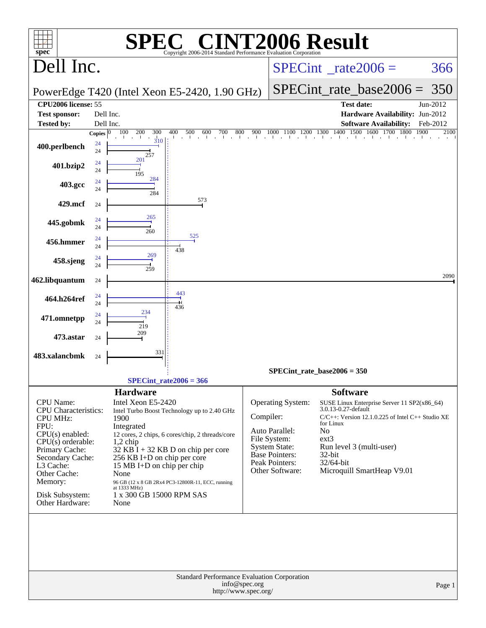| <b>INT2006 Result</b><br>$\bigcap$<br>SPE<br>$spec^*$<br>Copyright 2006-2014 Standard Performance Evaluation Corporation                                                                                                            |                                                                                                                                                                                                                                                                                                                                                                                                                |                                                                                                                                                                                                                                                                                                                                                                                                                                 |  |  |  |  |  |  |  |  |
|-------------------------------------------------------------------------------------------------------------------------------------------------------------------------------------------------------------------------------------|----------------------------------------------------------------------------------------------------------------------------------------------------------------------------------------------------------------------------------------------------------------------------------------------------------------------------------------------------------------------------------------------------------------|---------------------------------------------------------------------------------------------------------------------------------------------------------------------------------------------------------------------------------------------------------------------------------------------------------------------------------------------------------------------------------------------------------------------------------|--|--|--|--|--|--|--|--|
| Dell Inc.                                                                                                                                                                                                                           |                                                                                                                                                                                                                                                                                                                                                                                                                | $SPECint^{\circ}$ <sub>_rate2006</sub> =<br>366                                                                                                                                                                                                                                                                                                                                                                                 |  |  |  |  |  |  |  |  |
|                                                                                                                                                                                                                                     | PowerEdge T420 (Intel Xeon E5-2420, 1.90 GHz)                                                                                                                                                                                                                                                                                                                                                                  | $SPECint_rate_base2006 =$<br>350                                                                                                                                                                                                                                                                                                                                                                                                |  |  |  |  |  |  |  |  |
| CPU2006 license: 55                                                                                                                                                                                                                 |                                                                                                                                                                                                                                                                                                                                                                                                                | <b>Test date:</b><br>Jun-2012                                                                                                                                                                                                                                                                                                                                                                                                   |  |  |  |  |  |  |  |  |
| <b>Test sponsor:</b>                                                                                                                                                                                                                | Dell Inc.                                                                                                                                                                                                                                                                                                                                                                                                      | Hardware Availability: Jun-2012                                                                                                                                                                                                                                                                                                                                                                                                 |  |  |  |  |  |  |  |  |
| <b>Tested by:</b>                                                                                                                                                                                                                   | Dell Inc.<br>100<br>200<br>300<br>400<br>500<br>600<br>700<br>800                                                                                                                                                                                                                                                                                                                                              | <b>Software Availability:</b><br>Feb-2012<br>1900<br>2100<br>900                                                                                                                                                                                                                                                                                                                                                                |  |  |  |  |  |  |  |  |
| 400.perlbench                                                                                                                                                                                                                       | Copies $ 0 $<br>310<br>24<br>24<br>257                                                                                                                                                                                                                                                                                                                                                                         | $1000\ \overline{1100\ \ 1200\ \ 1300\ \ 1400\ \ 1500\ \ 1600\ \ 1700\ \ 1800}$                                                                                                                                                                                                                                                                                                                                                 |  |  |  |  |  |  |  |  |
| 401.bzip2                                                                                                                                                                                                                           | 201<br>24<br>24<br>195                                                                                                                                                                                                                                                                                                                                                                                         |                                                                                                                                                                                                                                                                                                                                                                                                                                 |  |  |  |  |  |  |  |  |
| 403.gcc                                                                                                                                                                                                                             | 284<br>24<br>24<br>284                                                                                                                                                                                                                                                                                                                                                                                         |                                                                                                                                                                                                                                                                                                                                                                                                                                 |  |  |  |  |  |  |  |  |
| 429.mcf                                                                                                                                                                                                                             | 573<br>24                                                                                                                                                                                                                                                                                                                                                                                                      |                                                                                                                                                                                                                                                                                                                                                                                                                                 |  |  |  |  |  |  |  |  |
| 445.gobmk                                                                                                                                                                                                                           | 265<br>24<br>24<br>260                                                                                                                                                                                                                                                                                                                                                                                         |                                                                                                                                                                                                                                                                                                                                                                                                                                 |  |  |  |  |  |  |  |  |
| 456.hmmer                                                                                                                                                                                                                           | 525<br>24<br>24                                                                                                                                                                                                                                                                                                                                                                                                |                                                                                                                                                                                                                                                                                                                                                                                                                                 |  |  |  |  |  |  |  |  |
| 458.sjeng                                                                                                                                                                                                                           | 438<br>269<br>24                                                                                                                                                                                                                                                                                                                                                                                               |                                                                                                                                                                                                                                                                                                                                                                                                                                 |  |  |  |  |  |  |  |  |
| 462.libquantum                                                                                                                                                                                                                      | 24<br>259<br>24                                                                                                                                                                                                                                                                                                                                                                                                | 2090                                                                                                                                                                                                                                                                                                                                                                                                                            |  |  |  |  |  |  |  |  |
| 464.h264ref                                                                                                                                                                                                                         | 443<br>24                                                                                                                                                                                                                                                                                                                                                                                                      |                                                                                                                                                                                                                                                                                                                                                                                                                                 |  |  |  |  |  |  |  |  |
| 471.omnetpp                                                                                                                                                                                                                         | 24<br>436<br>234<br>24                                                                                                                                                                                                                                                                                                                                                                                         |                                                                                                                                                                                                                                                                                                                                                                                                                                 |  |  |  |  |  |  |  |  |
| 473.astar                                                                                                                                                                                                                           | 24<br>219<br>209<br>24                                                                                                                                                                                                                                                                                                                                                                                         |                                                                                                                                                                                                                                                                                                                                                                                                                                 |  |  |  |  |  |  |  |  |
| 483.xalancbmk                                                                                                                                                                                                                       | 331<br>24                                                                                                                                                                                                                                                                                                                                                                                                      |                                                                                                                                                                                                                                                                                                                                                                                                                                 |  |  |  |  |  |  |  |  |
|                                                                                                                                                                                                                                     |                                                                                                                                                                                                                                                                                                                                                                                                                | $SPECint_rate_base2006 = 350$                                                                                                                                                                                                                                                                                                                                                                                                   |  |  |  |  |  |  |  |  |
|                                                                                                                                                                                                                                     | $SPECint_rate2006 = 366$                                                                                                                                                                                                                                                                                                                                                                                       |                                                                                                                                                                                                                                                                                                                                                                                                                                 |  |  |  |  |  |  |  |  |
| <b>CPU</b> Name:<br>CPU Characteristics:<br><b>CPU MHz:</b><br>FPU:<br>$CPU(s)$ enabled:<br>$CPU(s)$ orderable:<br>Primary Cache:<br>Secondary Cache:<br>L3 Cache:<br>Other Cache:<br>Memory:<br>Disk Subsystem:<br>Other Hardware: | <b>Hardware</b><br>Intel Xeon E5-2420<br>Intel Turbo Boost Technology up to 2.40 GHz<br>1900<br>Integrated<br>12 cores, 2 chips, 6 cores/chip, 2 threads/core<br>$1,2$ chip<br>$32$ KB $\overline{1}$ + 32 KB D on chip per core<br>256 KB I+D on chip per core<br>15 MB I+D on chip per chip<br>None<br>96 GB (12 x 8 GB 2Rx4 PC3-12800R-11, ECC, running<br>at 1333 MHz)<br>1 x 300 GB 15000 RPM SAS<br>None | <b>Software</b><br>Operating System:<br>SUSE Linux Enterprise Server 11 SP2(x86_64)<br>3.0.13-0.27-default<br>Compiler:<br>$C/C++$ : Version 12.1.0.225 of Intel $C++$ Studio XE<br>for Linux<br>Auto Parallel:<br>No<br>$ext{3}$<br>File System:<br><b>System State:</b><br>Run level 3 (multi-user)<br><b>Base Pointers:</b><br>32-bit<br><b>Peak Pointers:</b><br>32/64-bit<br>Microquill SmartHeap V9.01<br>Other Software: |  |  |  |  |  |  |  |  |
|                                                                                                                                                                                                                                     | Standard Performance Evaluation Corporation<br>info@spec.org<br>http://www.spec.org/                                                                                                                                                                                                                                                                                                                           | Page 1                                                                                                                                                                                                                                                                                                                                                                                                                          |  |  |  |  |  |  |  |  |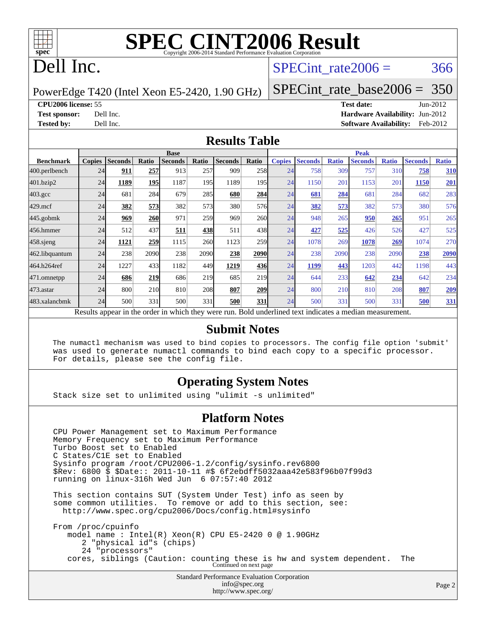

# **[SPEC CINT2006 Result](http://www.spec.org/auto/cpu2006/Docs/result-fields.html#SPECCINT2006Result)**

# Dell Inc.

#### SPECint rate $2006 = 366$

PowerEdge T420 (Intel Xeon E5-2420, 1.90 GHz)

[SPECint\\_rate\\_base2006 =](http://www.spec.org/auto/cpu2006/Docs/result-fields.html#SPECintratebase2006) 350

**[CPU2006 license:](http://www.spec.org/auto/cpu2006/Docs/result-fields.html#CPU2006license)** 55 **[Test date:](http://www.spec.org/auto/cpu2006/Docs/result-fields.html#Testdate)** Jun-2012

**[Test sponsor:](http://www.spec.org/auto/cpu2006/Docs/result-fields.html#Testsponsor)** Dell Inc. **[Hardware Availability:](http://www.spec.org/auto/cpu2006/Docs/result-fields.html#HardwareAvailability)** Jun-2012 **[Tested by:](http://www.spec.org/auto/cpu2006/Docs/result-fields.html#Testedby)** Dell Inc. **[Software Availability:](http://www.spec.org/auto/cpu2006/Docs/result-fields.html#SoftwareAvailability)** Feb-2012

#### **[Results Table](http://www.spec.org/auto/cpu2006/Docs/result-fields.html#ResultsTable)**

|                                                                                                          | <b>Base</b>   |                |       |                |            |                |                  | <b>Peak</b>   |                |              |                |              |                |              |
|----------------------------------------------------------------------------------------------------------|---------------|----------------|-------|----------------|------------|----------------|------------------|---------------|----------------|--------------|----------------|--------------|----------------|--------------|
| <b>Benchmark</b>                                                                                         | <b>Copies</b> | <b>Seconds</b> | Ratio | <b>Seconds</b> | Ratio      | <b>Seconds</b> | Ratio            | <b>Copies</b> | <b>Seconds</b> | <b>Ratio</b> | <b>Seconds</b> | <b>Ratio</b> | <b>Seconds</b> | <b>Ratio</b> |
| 400.perlbench                                                                                            | 24            | 911            | 257   | 913            | 257        | 909            | 258              | 24            | 758            | 309          | 757            | 310          | 758            | 310          |
| 401.bzip2                                                                                                | 24            | 1189           | 195   | 1187           | 195        | 1189           | 195 <sub>l</sub> | 24            | 1150           | 201          | 1153           | 201          | 1150           | 201          |
| $403.\mathrm{gcc}$                                                                                       | 24            | 681            | 284   | 679            | 285        | 680            | 284              | 24            | <b>681</b>     | 284          | 681            | 284          | 682            | 283          |
| $429$ .mcf                                                                                               | 24            | 382            | 573   | 382            | 573        | 380            | 576 <sub>l</sub> | 24            | 382            | 573          | 382            | 573          | 380            | 576          |
| $445$ .gobmk                                                                                             | 24            | 969            | 260   | 971            | 259        | 969            | <b>260</b>       | 24            | 948            | 265          | 950            | 265          | 951            | 265          |
| 456.hmmer                                                                                                | 24            | 512            | 437   | 511            | 4381       | 511            | 438              | 24            | 427            | 525          | 426            | 526          | 427            | 525          |
| 458.sjeng                                                                                                | 24            | 1121           | 259   | 1115           | <b>260</b> | 1123           | <b>259</b>       | 24            | 1078           | 269          | 1078           | 269          | 1074           | 270          |
| 462.libquantum                                                                                           | 24            | 238            | 2090  | 238            | 2090       | 238            | 2090             | 24            | 238            | 2090         | 238            | 2090         | 238            | 2090         |
| 464.h264ref                                                                                              | 24            | 1227           | 433   | 1182           | 449        | 1219           | 436              | 24            | 1199           | 443          | 1203           | 442          | 1198           | 443          |
| 471.omnetpp                                                                                              | 24            | 686            | 219   | 686            | 219        | 685            | 219              | 24            | 644            | 233          | 642            | 234          | 642            | 234          |
| 473.astar                                                                                                | 24            | 800            | 210   | 810            | <b>208</b> | 807            | <b>209</b>       | 24            | 800            | 210          | 810            | 208          | 807            | <u>209</u>   |
| 483.xalancbmk                                                                                            | 24            | 500            | 331   | 500            | 331        | 500            | 331              | 24            | 500            | 331          | 500            | 331          | 500            | <u>331</u>   |
| Results appear in the order in which they were run. Bold underlined text indicates a median measurement. |               |                |       |                |            |                |                  |               |                |              |                |              |                |              |

#### **[Submit Notes](http://www.spec.org/auto/cpu2006/Docs/result-fields.html#SubmitNotes)**

 The numactl mechanism was used to bind copies to processors. The config file option 'submit' was used to generate numactl commands to bind each copy to a specific processor. For details, please see the config file.

#### **[Operating System Notes](http://www.spec.org/auto/cpu2006/Docs/result-fields.html#OperatingSystemNotes)**

Stack size set to unlimited using "ulimit -s unlimited"

#### **[Platform Notes](http://www.spec.org/auto/cpu2006/Docs/result-fields.html#PlatformNotes)**

Standard Performance Evaluation Corporation [info@spec.org](mailto:info@spec.org) CPU Power Management set to Maximum Performance Memory Frequency set to Maximum Performance Turbo Boost set to Enabled C States/C1E set to Enabled Sysinfo program /root/CPU2006-1.2/config/sysinfo.rev6800 \$Rev: 6800 \$ \$Date:: 2011-10-11 #\$ 6f2ebdff5032aaa42e583f96b07f99d3 running on linux-316h Wed Jun 6 07:57:40 2012 This section contains SUT (System Under Test) info as seen by some common utilities. To remove or add to this section, see: <http://www.spec.org/cpu2006/Docs/config.html#sysinfo> From /proc/cpuinfo model name : Intel(R) Xeon(R) CPU E5-2420 0 @ 1.90GHz 2 "physical id"s (chips) 24 "processors" cores, siblings (Caution: counting these is hw and system dependent. The Continued on next page

<http://www.spec.org/>

Page 2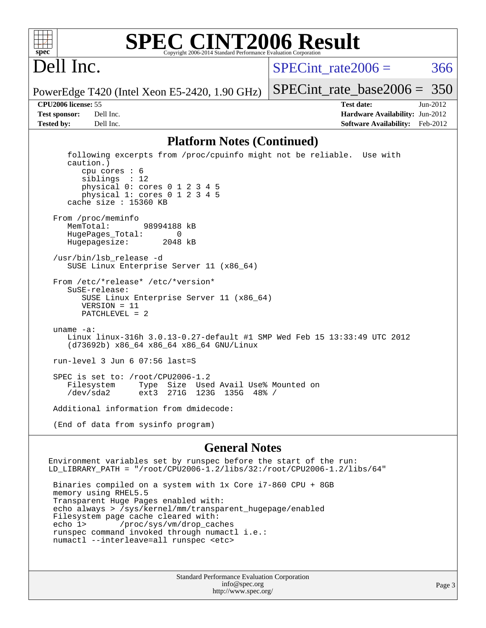

#### **[SPEC CINT2006 Result](http://www.spec.org/auto/cpu2006/Docs/result-fields.html#SPECCINT2006Result)** Copyright 2006-2014 Standard Performance Evaluation C

# Dell Inc.

SPECint rate $2006 = 366$ 

[SPECint\\_rate\\_base2006 =](http://www.spec.org/auto/cpu2006/Docs/result-fields.html#SPECintratebase2006) 350

PowerEdge T420 (Intel Xeon E5-2420, 1.90 GHz)

**[CPU2006 license:](http://www.spec.org/auto/cpu2006/Docs/result-fields.html#CPU2006license)** 55 **[Test date:](http://www.spec.org/auto/cpu2006/Docs/result-fields.html#Testdate)** Jun-2012 **[Test sponsor:](http://www.spec.org/auto/cpu2006/Docs/result-fields.html#Testsponsor)** Dell Inc. **[Hardware Availability:](http://www.spec.org/auto/cpu2006/Docs/result-fields.html#HardwareAvailability)** Jun-2012 **[Tested by:](http://www.spec.org/auto/cpu2006/Docs/result-fields.html#Testedby)** Dell Inc. **[Software Availability:](http://www.spec.org/auto/cpu2006/Docs/result-fields.html#SoftwareAvailability)** Feb-2012

#### **[Platform Notes \(Continued\)](http://www.spec.org/auto/cpu2006/Docs/result-fields.html#PlatformNotes)**

 following excerpts from /proc/cpuinfo might not be reliable. Use with caution.) cpu cores : 6 siblings : 12 physical 0: cores 0 1 2 3 4 5 physical 1: cores 0 1 2 3 4 5 cache size : 15360 KB From /proc/meminfo MemTotal: 98994188 kB<br>HugePages Total: 0 HugePages\_Total: 0 Hugepagesize: 2048 kB /usr/bin/lsb\_release -d SUSE Linux Enterprise Server 11 (x86\_64) From /etc/\*release\* /etc/\*version\* SuSE-release: SUSE Linux Enterprise Server 11 (x86\_64) VERSION = 11 PATCHLEVEL = 2 uname -a: Linux linux-316h 3.0.13-0.27-default #1 SMP Wed Feb 15 13:33:49 UTC 2012 (d73692b) x86\_64 x86\_64 x86\_64 GNU/Linux run-level 3 Jun 6 07:56 last=S SPEC is set to: /root/CPU2006-1.2 Filesystem Type Size Used Avail Use% Mounted on /dev/sda2 ext3 271G 123G 135G 48% / Additional information from dmidecode:

(End of data from sysinfo program)

#### **[General Notes](http://www.spec.org/auto/cpu2006/Docs/result-fields.html#GeneralNotes)**

Environment variables set by runspec before the start of the run: LD\_LIBRARY\_PATH = "/root/CPU2006-1.2/libs/32:/root/CPU2006-1.2/libs/64"

 Binaries compiled on a system with 1x Core i7-860 CPU + 8GB memory using RHEL5.5 Transparent Huge Pages enabled with: echo always > /sys/kernel/mm/transparent\_hugepage/enabled Filesystem page cache cleared with: echo 1> /proc/sys/vm/drop\_caches runspec command invoked through numactl i.e.: numactl --interleave=all runspec <etc>

> Standard Performance Evaluation Corporation [info@spec.org](mailto:info@spec.org) <http://www.spec.org/>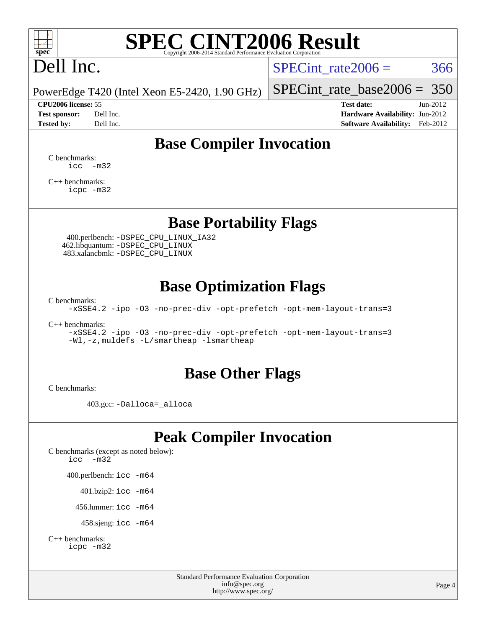

# **[SPEC CINT2006 Result](http://www.spec.org/auto/cpu2006/Docs/result-fields.html#SPECCINT2006Result)**

# Dell Inc.

SPECint rate $2006 = 366$ 

PowerEdge T420 (Intel Xeon E5-2420, 1.90 GHz)

#### **[CPU2006 license:](http://www.spec.org/auto/cpu2006/Docs/result-fields.html#CPU2006license)** 55 **[Test date:](http://www.spec.org/auto/cpu2006/Docs/result-fields.html#Testdate)** Jun-2012

[SPECint\\_rate\\_base2006 =](http://www.spec.org/auto/cpu2006/Docs/result-fields.html#SPECintratebase2006) 350

**[Test sponsor:](http://www.spec.org/auto/cpu2006/Docs/result-fields.html#Testsponsor)** Dell Inc. **[Hardware Availability:](http://www.spec.org/auto/cpu2006/Docs/result-fields.html#HardwareAvailability)** Jun-2012 **[Tested by:](http://www.spec.org/auto/cpu2006/Docs/result-fields.html#Testedby)** Dell Inc. **[Software Availability:](http://www.spec.org/auto/cpu2006/Docs/result-fields.html#SoftwareAvailability)** Feb-2012

## **[Base Compiler Invocation](http://www.spec.org/auto/cpu2006/Docs/result-fields.html#BaseCompilerInvocation)**

[C benchmarks](http://www.spec.org/auto/cpu2006/Docs/result-fields.html#Cbenchmarks):  $\text{icc}$   $-\text{m32}$ 

[C++ benchmarks:](http://www.spec.org/auto/cpu2006/Docs/result-fields.html#CXXbenchmarks) [icpc -m32](http://www.spec.org/cpu2006/results/res2012q3/cpu2006-20120703-23466.flags.html#user_CXXbase_intel_icpc_4e5a5ef1a53fd332b3c49e69c3330699)

### **[Base Portability Flags](http://www.spec.org/auto/cpu2006/Docs/result-fields.html#BasePortabilityFlags)**

 400.perlbench: [-DSPEC\\_CPU\\_LINUX\\_IA32](http://www.spec.org/cpu2006/results/res2012q3/cpu2006-20120703-23466.flags.html#b400.perlbench_baseCPORTABILITY_DSPEC_CPU_LINUX_IA32) 462.libquantum: [-DSPEC\\_CPU\\_LINUX](http://www.spec.org/cpu2006/results/res2012q3/cpu2006-20120703-23466.flags.html#b462.libquantum_baseCPORTABILITY_DSPEC_CPU_LINUX) 483.xalancbmk: [-DSPEC\\_CPU\\_LINUX](http://www.spec.org/cpu2006/results/res2012q3/cpu2006-20120703-23466.flags.html#b483.xalancbmk_baseCXXPORTABILITY_DSPEC_CPU_LINUX)

## **[Base Optimization Flags](http://www.spec.org/auto/cpu2006/Docs/result-fields.html#BaseOptimizationFlags)**

[C benchmarks](http://www.spec.org/auto/cpu2006/Docs/result-fields.html#Cbenchmarks):

[-xSSE4.2](http://www.spec.org/cpu2006/results/res2012q3/cpu2006-20120703-23466.flags.html#user_CCbase_f-xSSE42_f91528193cf0b216347adb8b939d4107) [-ipo](http://www.spec.org/cpu2006/results/res2012q3/cpu2006-20120703-23466.flags.html#user_CCbase_f-ipo) [-O3](http://www.spec.org/cpu2006/results/res2012q3/cpu2006-20120703-23466.flags.html#user_CCbase_f-O3) [-no-prec-div](http://www.spec.org/cpu2006/results/res2012q3/cpu2006-20120703-23466.flags.html#user_CCbase_f-no-prec-div) [-opt-prefetch](http://www.spec.org/cpu2006/results/res2012q3/cpu2006-20120703-23466.flags.html#user_CCbase_f-opt-prefetch) [-opt-mem-layout-trans=3](http://www.spec.org/cpu2006/results/res2012q3/cpu2006-20120703-23466.flags.html#user_CCbase_f-opt-mem-layout-trans_a7b82ad4bd7abf52556d4961a2ae94d5)

[C++ benchmarks:](http://www.spec.org/auto/cpu2006/Docs/result-fields.html#CXXbenchmarks)

[-xSSE4.2](http://www.spec.org/cpu2006/results/res2012q3/cpu2006-20120703-23466.flags.html#user_CXXbase_f-xSSE42_f91528193cf0b216347adb8b939d4107) [-ipo](http://www.spec.org/cpu2006/results/res2012q3/cpu2006-20120703-23466.flags.html#user_CXXbase_f-ipo) [-O3](http://www.spec.org/cpu2006/results/res2012q3/cpu2006-20120703-23466.flags.html#user_CXXbase_f-O3) [-no-prec-div](http://www.spec.org/cpu2006/results/res2012q3/cpu2006-20120703-23466.flags.html#user_CXXbase_f-no-prec-div) [-opt-prefetch](http://www.spec.org/cpu2006/results/res2012q3/cpu2006-20120703-23466.flags.html#user_CXXbase_f-opt-prefetch) [-opt-mem-layout-trans=3](http://www.spec.org/cpu2006/results/res2012q3/cpu2006-20120703-23466.flags.html#user_CXXbase_f-opt-mem-layout-trans_a7b82ad4bd7abf52556d4961a2ae94d5) [-Wl,-z,muldefs](http://www.spec.org/cpu2006/results/res2012q3/cpu2006-20120703-23466.flags.html#user_CXXbase_link_force_multiple1_74079c344b956b9658436fd1b6dd3a8a) [-L/smartheap -lsmartheap](http://www.spec.org/cpu2006/results/res2012q3/cpu2006-20120703-23466.flags.html#user_CXXbase_SmartHeap_7c9e394a5779e1a7fec7c221e123830c)

### **[Base Other Flags](http://www.spec.org/auto/cpu2006/Docs/result-fields.html#BaseOtherFlags)**

[C benchmarks](http://www.spec.org/auto/cpu2006/Docs/result-fields.html#Cbenchmarks):

403.gcc: [-Dalloca=\\_alloca](http://www.spec.org/cpu2006/results/res2012q3/cpu2006-20120703-23466.flags.html#b403.gcc_baseEXTRA_CFLAGS_Dalloca_be3056838c12de2578596ca5467af7f3)

# **[Peak Compiler Invocation](http://www.spec.org/auto/cpu2006/Docs/result-fields.html#PeakCompilerInvocation)**

[C benchmarks \(except as noted below\)](http://www.spec.org/auto/cpu2006/Docs/result-fields.html#Cbenchmarksexceptasnotedbelow): [icc -m32](http://www.spec.org/cpu2006/results/res2012q3/cpu2006-20120703-23466.flags.html#user_CCpeak_intel_icc_5ff4a39e364c98233615fdd38438c6f2) 400.perlbench: [icc -m64](http://www.spec.org/cpu2006/results/res2012q3/cpu2006-20120703-23466.flags.html#user_peakCCLD400_perlbench_intel_icc_64bit_bda6cc9af1fdbb0edc3795bac97ada53) 401.bzip2: [icc -m64](http://www.spec.org/cpu2006/results/res2012q3/cpu2006-20120703-23466.flags.html#user_peakCCLD401_bzip2_intel_icc_64bit_bda6cc9af1fdbb0edc3795bac97ada53)

456.hmmer: [icc -m64](http://www.spec.org/cpu2006/results/res2012q3/cpu2006-20120703-23466.flags.html#user_peakCCLD456_hmmer_intel_icc_64bit_bda6cc9af1fdbb0edc3795bac97ada53)

458.sjeng: [icc -m64](http://www.spec.org/cpu2006/results/res2012q3/cpu2006-20120703-23466.flags.html#user_peakCCLD458_sjeng_intel_icc_64bit_bda6cc9af1fdbb0edc3795bac97ada53)

```
C++ benchmarks: 
icpc -m32
```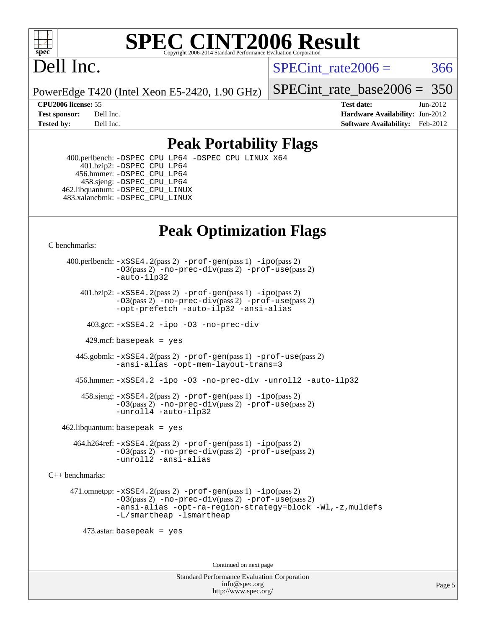

#### **[SPEC CINT2006 Result](http://www.spec.org/auto/cpu2006/Docs/result-fields.html#SPECCINT2006Result)** Copyright 2006-2014 Standard Performance Evaluation C

# Dell Inc.

SPECint rate $2006 = 366$ 

PowerEdge T420 (Intel Xeon E5-2420, 1.90 GHz)

[SPECint\\_rate\\_base2006 =](http://www.spec.org/auto/cpu2006/Docs/result-fields.html#SPECintratebase2006) 350

**[CPU2006 license:](http://www.spec.org/auto/cpu2006/Docs/result-fields.html#CPU2006license)** 55 **[Test date:](http://www.spec.org/auto/cpu2006/Docs/result-fields.html#Testdate)** Jun-2012 **[Test sponsor:](http://www.spec.org/auto/cpu2006/Docs/result-fields.html#Testsponsor)** Dell Inc. **[Hardware Availability:](http://www.spec.org/auto/cpu2006/Docs/result-fields.html#HardwareAvailability)** Jun-2012 **[Tested by:](http://www.spec.org/auto/cpu2006/Docs/result-fields.html#Testedby)** Dell Inc. **[Software Availability:](http://www.spec.org/auto/cpu2006/Docs/result-fields.html#SoftwareAvailability)** Feb-2012

## **[Peak Portability Flags](http://www.spec.org/auto/cpu2006/Docs/result-fields.html#PeakPortabilityFlags)**

 400.perlbench: [-DSPEC\\_CPU\\_LP64](http://www.spec.org/cpu2006/results/res2012q3/cpu2006-20120703-23466.flags.html#b400.perlbench_peakCPORTABILITY_DSPEC_CPU_LP64) [-DSPEC\\_CPU\\_LINUX\\_X64](http://www.spec.org/cpu2006/results/res2012q3/cpu2006-20120703-23466.flags.html#b400.perlbench_peakCPORTABILITY_DSPEC_CPU_LINUX_X64) 401.bzip2: [-DSPEC\\_CPU\\_LP64](http://www.spec.org/cpu2006/results/res2012q3/cpu2006-20120703-23466.flags.html#suite_peakCPORTABILITY401_bzip2_DSPEC_CPU_LP64) 456.hmmer: [-DSPEC\\_CPU\\_LP64](http://www.spec.org/cpu2006/results/res2012q3/cpu2006-20120703-23466.flags.html#suite_peakCPORTABILITY456_hmmer_DSPEC_CPU_LP64) 458.sjeng: [-DSPEC\\_CPU\\_LP64](http://www.spec.org/cpu2006/results/res2012q3/cpu2006-20120703-23466.flags.html#suite_peakCPORTABILITY458_sjeng_DSPEC_CPU_LP64) 462.libquantum: [-DSPEC\\_CPU\\_LINUX](http://www.spec.org/cpu2006/results/res2012q3/cpu2006-20120703-23466.flags.html#b462.libquantum_peakCPORTABILITY_DSPEC_CPU_LINUX) 483.xalancbmk: [-DSPEC\\_CPU\\_LINUX](http://www.spec.org/cpu2006/results/res2012q3/cpu2006-20120703-23466.flags.html#b483.xalancbmk_peakCXXPORTABILITY_DSPEC_CPU_LINUX)

# **[Peak Optimization Flags](http://www.spec.org/auto/cpu2006/Docs/result-fields.html#PeakOptimizationFlags)**

[C benchmarks](http://www.spec.org/auto/cpu2006/Docs/result-fields.html#Cbenchmarks):

 400.perlbench: [-xSSE4.2](http://www.spec.org/cpu2006/results/res2012q3/cpu2006-20120703-23466.flags.html#user_peakPASS2_CFLAGSPASS2_LDCFLAGS400_perlbench_f-xSSE42_f91528193cf0b216347adb8b939d4107)(pass 2) [-prof-gen](http://www.spec.org/cpu2006/results/res2012q3/cpu2006-20120703-23466.flags.html#user_peakPASS1_CFLAGSPASS1_LDCFLAGS400_perlbench_prof_gen_e43856698f6ca7b7e442dfd80e94a8fc)(pass 1) [-ipo](http://www.spec.org/cpu2006/results/res2012q3/cpu2006-20120703-23466.flags.html#user_peakPASS2_CFLAGSPASS2_LDCFLAGS400_perlbench_f-ipo)(pass 2) [-O3](http://www.spec.org/cpu2006/results/res2012q3/cpu2006-20120703-23466.flags.html#user_peakPASS2_CFLAGSPASS2_LDCFLAGS400_perlbench_f-O3)(pass 2) [-no-prec-div](http://www.spec.org/cpu2006/results/res2012q3/cpu2006-20120703-23466.flags.html#user_peakPASS2_CFLAGSPASS2_LDCFLAGS400_perlbench_f-no-prec-div)(pass 2) [-prof-use](http://www.spec.org/cpu2006/results/res2012q3/cpu2006-20120703-23466.flags.html#user_peakPASS2_CFLAGSPASS2_LDCFLAGS400_perlbench_prof_use_bccf7792157ff70d64e32fe3e1250b55)(pass 2) [-auto-ilp32](http://www.spec.org/cpu2006/results/res2012q3/cpu2006-20120703-23466.flags.html#user_peakCOPTIMIZE400_perlbench_f-auto-ilp32)  $401.bzip2: -xSSE4.2(pass 2) -prof-qen(pass 1) -ipo(pass 2)$  $401.bzip2: -xSSE4.2(pass 2) -prof-qen(pass 1) -ipo(pass 2)$  $401.bzip2: -xSSE4.2(pass 2) -prof-qen(pass 1) -ipo(pass 2)$  $401.bzip2: -xSSE4.2(pass 2) -prof-qen(pass 1) -ipo(pass 2)$  $401.bzip2: -xSSE4.2(pass 2) -prof-qen(pass 1) -ipo(pass 2)$ [-O3](http://www.spec.org/cpu2006/results/res2012q3/cpu2006-20120703-23466.flags.html#user_peakPASS2_CFLAGSPASS2_LDCFLAGS401_bzip2_f-O3)(pass 2) [-no-prec-div](http://www.spec.org/cpu2006/results/res2012q3/cpu2006-20120703-23466.flags.html#user_peakPASS2_CFLAGSPASS2_LDCFLAGS401_bzip2_f-no-prec-div)(pass 2) [-prof-use](http://www.spec.org/cpu2006/results/res2012q3/cpu2006-20120703-23466.flags.html#user_peakPASS2_CFLAGSPASS2_LDCFLAGS401_bzip2_prof_use_bccf7792157ff70d64e32fe3e1250b55)(pass 2) [-opt-prefetch](http://www.spec.org/cpu2006/results/res2012q3/cpu2006-20120703-23466.flags.html#user_peakCOPTIMIZE401_bzip2_f-opt-prefetch) [-auto-ilp32](http://www.spec.org/cpu2006/results/res2012q3/cpu2006-20120703-23466.flags.html#user_peakCOPTIMIZE401_bzip2_f-auto-ilp32) [-ansi-alias](http://www.spec.org/cpu2006/results/res2012q3/cpu2006-20120703-23466.flags.html#user_peakCOPTIMIZE401_bzip2_f-ansi-alias) 403.gcc: [-xSSE4.2](http://www.spec.org/cpu2006/results/res2012q3/cpu2006-20120703-23466.flags.html#user_peakCOPTIMIZE403_gcc_f-xSSE42_f91528193cf0b216347adb8b939d4107) [-ipo](http://www.spec.org/cpu2006/results/res2012q3/cpu2006-20120703-23466.flags.html#user_peakCOPTIMIZE403_gcc_f-ipo) [-O3](http://www.spec.org/cpu2006/results/res2012q3/cpu2006-20120703-23466.flags.html#user_peakCOPTIMIZE403_gcc_f-O3) [-no-prec-div](http://www.spec.org/cpu2006/results/res2012q3/cpu2006-20120703-23466.flags.html#user_peakCOPTIMIZE403_gcc_f-no-prec-div) 429.mcf: basepeak = yes 445.gobmk: [-xSSE4.2](http://www.spec.org/cpu2006/results/res2012q3/cpu2006-20120703-23466.flags.html#user_peakPASS2_CFLAGSPASS2_LDCFLAGS445_gobmk_f-xSSE42_f91528193cf0b216347adb8b939d4107)(pass 2) [-prof-gen](http://www.spec.org/cpu2006/results/res2012q3/cpu2006-20120703-23466.flags.html#user_peakPASS1_CFLAGSPASS1_LDCFLAGS445_gobmk_prof_gen_e43856698f6ca7b7e442dfd80e94a8fc)(pass 1) [-prof-use](http://www.spec.org/cpu2006/results/res2012q3/cpu2006-20120703-23466.flags.html#user_peakPASS2_CFLAGSPASS2_LDCFLAGS445_gobmk_prof_use_bccf7792157ff70d64e32fe3e1250b55)(pass 2) [-ansi-alias](http://www.spec.org/cpu2006/results/res2012q3/cpu2006-20120703-23466.flags.html#user_peakCOPTIMIZE445_gobmk_f-ansi-alias) [-opt-mem-layout-trans=3](http://www.spec.org/cpu2006/results/res2012q3/cpu2006-20120703-23466.flags.html#user_peakCOPTIMIZE445_gobmk_f-opt-mem-layout-trans_a7b82ad4bd7abf52556d4961a2ae94d5) 456.hmmer: [-xSSE4.2](http://www.spec.org/cpu2006/results/res2012q3/cpu2006-20120703-23466.flags.html#user_peakCOPTIMIZE456_hmmer_f-xSSE42_f91528193cf0b216347adb8b939d4107) [-ipo](http://www.spec.org/cpu2006/results/res2012q3/cpu2006-20120703-23466.flags.html#user_peakCOPTIMIZE456_hmmer_f-ipo) [-O3](http://www.spec.org/cpu2006/results/res2012q3/cpu2006-20120703-23466.flags.html#user_peakCOPTIMIZE456_hmmer_f-O3) [-no-prec-div](http://www.spec.org/cpu2006/results/res2012q3/cpu2006-20120703-23466.flags.html#user_peakCOPTIMIZE456_hmmer_f-no-prec-div) [-unroll2](http://www.spec.org/cpu2006/results/res2012q3/cpu2006-20120703-23466.flags.html#user_peakCOPTIMIZE456_hmmer_f-unroll_784dae83bebfb236979b41d2422d7ec2) [-auto-ilp32](http://www.spec.org/cpu2006/results/res2012q3/cpu2006-20120703-23466.flags.html#user_peakCOPTIMIZE456_hmmer_f-auto-ilp32) 458.sjeng: [-xSSE4.2](http://www.spec.org/cpu2006/results/res2012q3/cpu2006-20120703-23466.flags.html#user_peakPASS2_CFLAGSPASS2_LDCFLAGS458_sjeng_f-xSSE42_f91528193cf0b216347adb8b939d4107)(pass 2) [-prof-gen](http://www.spec.org/cpu2006/results/res2012q3/cpu2006-20120703-23466.flags.html#user_peakPASS1_CFLAGSPASS1_LDCFLAGS458_sjeng_prof_gen_e43856698f6ca7b7e442dfd80e94a8fc)(pass 1) [-ipo](http://www.spec.org/cpu2006/results/res2012q3/cpu2006-20120703-23466.flags.html#user_peakPASS2_CFLAGSPASS2_LDCFLAGS458_sjeng_f-ipo)(pass 2) [-O3](http://www.spec.org/cpu2006/results/res2012q3/cpu2006-20120703-23466.flags.html#user_peakPASS2_CFLAGSPASS2_LDCFLAGS458_sjeng_f-O3)(pass 2) [-no-prec-div](http://www.spec.org/cpu2006/results/res2012q3/cpu2006-20120703-23466.flags.html#user_peakPASS2_CFLAGSPASS2_LDCFLAGS458_sjeng_f-no-prec-div)(pass 2) [-prof-use](http://www.spec.org/cpu2006/results/res2012q3/cpu2006-20120703-23466.flags.html#user_peakPASS2_CFLAGSPASS2_LDCFLAGS458_sjeng_prof_use_bccf7792157ff70d64e32fe3e1250b55)(pass 2) [-unroll4](http://www.spec.org/cpu2006/results/res2012q3/cpu2006-20120703-23466.flags.html#user_peakCOPTIMIZE458_sjeng_f-unroll_4e5e4ed65b7fd20bdcd365bec371b81f) [-auto-ilp32](http://www.spec.org/cpu2006/results/res2012q3/cpu2006-20120703-23466.flags.html#user_peakCOPTIMIZE458_sjeng_f-auto-ilp32)  $462$ .libquantum: basepeak = yes 464.h264ref: [-xSSE4.2](http://www.spec.org/cpu2006/results/res2012q3/cpu2006-20120703-23466.flags.html#user_peakPASS2_CFLAGSPASS2_LDCFLAGS464_h264ref_f-xSSE42_f91528193cf0b216347adb8b939d4107)(pass 2) [-prof-gen](http://www.spec.org/cpu2006/results/res2012q3/cpu2006-20120703-23466.flags.html#user_peakPASS1_CFLAGSPASS1_LDCFLAGS464_h264ref_prof_gen_e43856698f6ca7b7e442dfd80e94a8fc)(pass 1) [-ipo](http://www.spec.org/cpu2006/results/res2012q3/cpu2006-20120703-23466.flags.html#user_peakPASS2_CFLAGSPASS2_LDCFLAGS464_h264ref_f-ipo)(pass 2) [-O3](http://www.spec.org/cpu2006/results/res2012q3/cpu2006-20120703-23466.flags.html#user_peakPASS2_CFLAGSPASS2_LDCFLAGS464_h264ref_f-O3)(pass 2) [-no-prec-div](http://www.spec.org/cpu2006/results/res2012q3/cpu2006-20120703-23466.flags.html#user_peakPASS2_CFLAGSPASS2_LDCFLAGS464_h264ref_f-no-prec-div)(pass 2) [-prof-use](http://www.spec.org/cpu2006/results/res2012q3/cpu2006-20120703-23466.flags.html#user_peakPASS2_CFLAGSPASS2_LDCFLAGS464_h264ref_prof_use_bccf7792157ff70d64e32fe3e1250b55)(pass 2) [-unroll2](http://www.spec.org/cpu2006/results/res2012q3/cpu2006-20120703-23466.flags.html#user_peakCOPTIMIZE464_h264ref_f-unroll_784dae83bebfb236979b41d2422d7ec2) [-ansi-alias](http://www.spec.org/cpu2006/results/res2012q3/cpu2006-20120703-23466.flags.html#user_peakCOPTIMIZE464_h264ref_f-ansi-alias) [C++ benchmarks:](http://www.spec.org/auto/cpu2006/Docs/result-fields.html#CXXbenchmarks) 471.omnetpp: [-xSSE4.2](http://www.spec.org/cpu2006/results/res2012q3/cpu2006-20120703-23466.flags.html#user_peakPASS2_CXXFLAGSPASS2_LDCXXFLAGS471_omnetpp_f-xSSE42_f91528193cf0b216347adb8b939d4107)(pass 2) [-prof-gen](http://www.spec.org/cpu2006/results/res2012q3/cpu2006-20120703-23466.flags.html#user_peakPASS1_CXXFLAGSPASS1_LDCXXFLAGS471_omnetpp_prof_gen_e43856698f6ca7b7e442dfd80e94a8fc)(pass 1) [-ipo](http://www.spec.org/cpu2006/results/res2012q3/cpu2006-20120703-23466.flags.html#user_peakPASS2_CXXFLAGSPASS2_LDCXXFLAGS471_omnetpp_f-ipo)(pass 2) [-O3](http://www.spec.org/cpu2006/results/res2012q3/cpu2006-20120703-23466.flags.html#user_peakPASS2_CXXFLAGSPASS2_LDCXXFLAGS471_omnetpp_f-O3)(pass 2) [-no-prec-div](http://www.spec.org/cpu2006/results/res2012q3/cpu2006-20120703-23466.flags.html#user_peakPASS2_CXXFLAGSPASS2_LDCXXFLAGS471_omnetpp_f-no-prec-div)(pass 2) [-prof-use](http://www.spec.org/cpu2006/results/res2012q3/cpu2006-20120703-23466.flags.html#user_peakPASS2_CXXFLAGSPASS2_LDCXXFLAGS471_omnetpp_prof_use_bccf7792157ff70d64e32fe3e1250b55)(pass 2) [-ansi-alias](http://www.spec.org/cpu2006/results/res2012q3/cpu2006-20120703-23466.flags.html#user_peakCXXOPTIMIZE471_omnetpp_f-ansi-alias) [-opt-ra-region-strategy=block](http://www.spec.org/cpu2006/results/res2012q3/cpu2006-20120703-23466.flags.html#user_peakCXXOPTIMIZE471_omnetpp_f-opt-ra-region-strategy_a0a37c372d03933b2a18d4af463c1f69) [-Wl,-z,muldefs](http://www.spec.org/cpu2006/results/res2012q3/cpu2006-20120703-23466.flags.html#user_peakEXTRA_LDFLAGS471_omnetpp_link_force_multiple1_74079c344b956b9658436fd1b6dd3a8a) [-L/smartheap -lsmartheap](http://www.spec.org/cpu2006/results/res2012q3/cpu2006-20120703-23466.flags.html#user_peakEXTRA_LIBS471_omnetpp_SmartHeap_7c9e394a5779e1a7fec7c221e123830c) 473.astar: basepeak = yes

Continued on next page

Standard Performance Evaluation Corporation [info@spec.org](mailto:info@spec.org) <http://www.spec.org/>